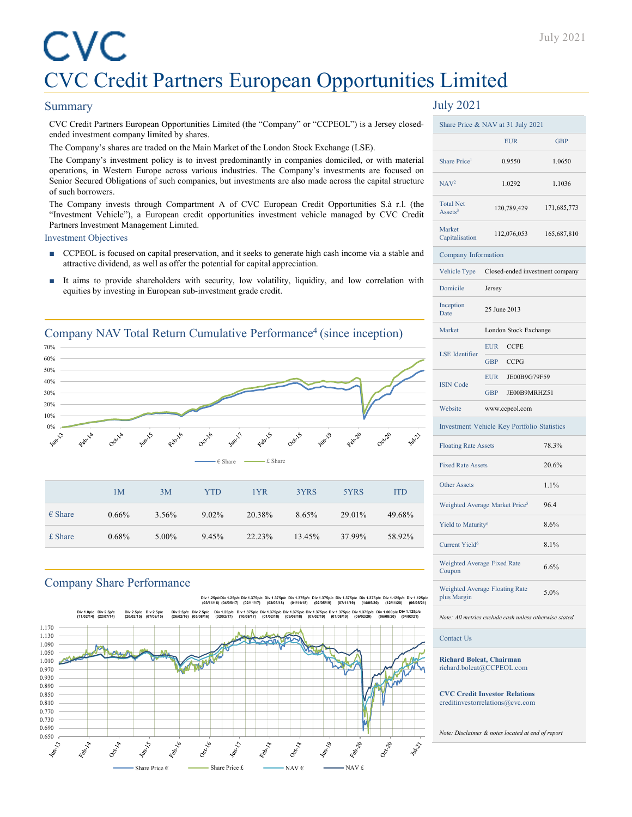#### Summary

CVC Credit Partners European Opportunities Limited (the "Company" or "CCPEOL") is a Jersey closedended investment company limited by shares.

The Company's shares are traded on the Main Market of the London Stock Exchange (LSE).

The Company's investment policy is to invest predominantly in companies domiciled, or with material operations, in Western Europe across various industries. The Company's investments are focused on Senior Secured Obligations of such companies, but investments are also made across the capital structure of such borrowers.

The Company invests through Compartment A of CVC European Credit Opportunities S.à r.l. (the "Investment Vehicle"), a European credit opportunities investment vehicle managed by CVC Credit Partners Investment Management Limited.

Investment Objectives

- CCPEOL is focused on capital preservation, and it seeks to generate high cash income via a stable and attractive dividend, as well as offer the potential for capital appreciation.
- It aims to provide shareholders with security, low volatility, liquidity, and low correlation with equities by investing in European sub-investment grade credit.

## Company NAV Total Return Cumulative Performance<sup>4</sup> (since inception) 70% 60% 50% 40% 30% 20% 10% 0% Febric € Share £ Share1M 3M YTD 1YR 3YRS 5YRS ITD

| $\epsilon$ Share | $0.66\%$ | 3.56% | $9.02\%$ | 20.38% | 8.65%  | 29.01% | 49.68% |
|------------------|----------|-------|----------|--------|--------|--------|--------|
| $£$ Share        | $0.68\%$ | 5.00% | 9.45%    | 22.23% | 13.45% | 37.99% | 58.92% |

### Company Share Performance

**Div 2.5p/c**

**Div 2.5p/c**

Div 1.25p/cDiv 1.25p/c<br>(03/11/16) (04/05/17) **(04/05/17) Div 1.375p/c (02/11/17) Div 1.375p/c (03/05/18) Div 1.375p/c (01/11/18) Div 1.375p/c (02/05/19) Div 1.375p/c (07/11/19) Div 1.375p/c (14/05/20) Div 1.125p/c (12/11/20) Div 2.5p/c (26/02/16) Div 2.5p/c (05/08/16) Div 1.25p/c (02/02/17) Div 1.375p/c (10/08/17) Div 1.375p/c (01/02/18) Div 1.375p/c Div 1.375p/c (09/08/18) (07/02/19) Div 1.375p/c (01/08/19) Div 1.375p/c (06/02/20) Div 1.000p/c (06/08/20) Div 1.125p/c (04/02/21) Div 1.125p/c (06/05/21)**



## July 2021

|                                         | <b>EUR</b>                                  | <b>GBP</b>  |  |
|-----------------------------------------|---------------------------------------------|-------------|--|
| Share Price <sup>1</sup>                | 0.9550                                      | 1.0650      |  |
| NAV <sup>2</sup>                        | 1.0292                                      | 1.1036      |  |
| <b>Total Net</b><br>Assets <sup>3</sup> | 120,789,429                                 | 171,685,773 |  |
| Market<br>Capitalisation                | 112,076,053                                 | 165,687,810 |  |
| Company Information                     |                                             |             |  |
| Vehicle Type                            | Closed-ended investment company             |             |  |
| Domicile                                | Jersey                                      |             |  |
| Inception<br>Date                       | 25 June 2013                                |             |  |
| Market                                  | London Stock Exchange                       |             |  |
| <b>LSE</b> Identifier                   | <b>EUR</b><br><b>CCPE</b>                   |             |  |
|                                         | <b>GBP</b><br><b>CCPG</b>                   |             |  |
| <b>ISIN</b> Code                        | EUR JE00B9G79F59                            |             |  |
|                                         | JE00B9MRHZ51<br><b>GBP</b>                  |             |  |
| Website                                 | www.ccpeol.com                              |             |  |
|                                         | Investment Vehicle Key Portfolio Statistics |             |  |
| <b>Floating Rate Assets</b>             |                                             | 78.3%       |  |
| <b>Fixed Rate Assets</b>                |                                             | 20.6%       |  |
| <b>Other Assets</b>                     |                                             | 1.1%        |  |
|                                         | Weighted Average Market Price <sup>5</sup>  | 96.4        |  |
| Yield to Maturity <sup>6</sup>          |                                             | 8.6%        |  |
| Current Yield <sup>6</sup>              |                                             | 8.1%        |  |
| Weighted Average Fixed Rate<br>Coupon   |                                             | 6.6%        |  |
| plus Margin                             | Weighted Average Floating Rate              | 5.0%        |  |

*Note: All metrics exclude cash unless otherwise stated*

Contact Us

**Richard Boleat, Chairman** richard.boleat@CCPEOL.com

**CVC Credit Investor Relations** creditinvestorrelations@cvc.com

*Note: Disclaimer & notes located at end of report*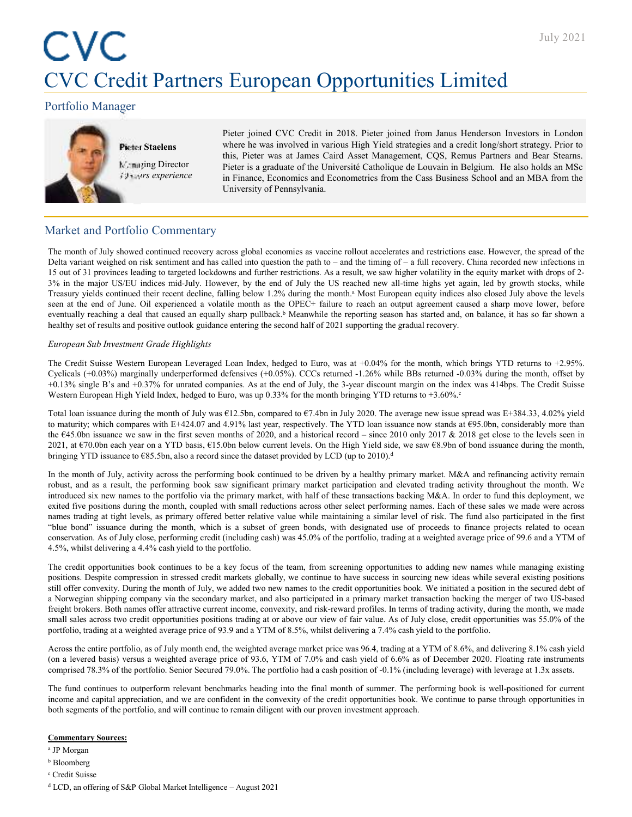## Portfolio Manager



#### **Pieter Staelens**

**Managing Director** *19 years experience*

Pieter joined CVC Credit in 2018. Pieter joined from Janus Henderson Investors in London where he was involved in various High Yield strategies and a credit long/short strategy. Prior to this, Pieter was at James Caird Asset Management, CQS, Remus Partners and Bear Stearns. Pieter is a graduate of the Université Catholique de Louvain in Belgium. He also holds an MSc in Finance, Economics and Econometrics from the Cass Business School and an MBA from the University of Pennsylvania.

## Market and Portfolio Commentary

The month of July showed continued recovery across global economies as vaccine rollout accelerates and restrictions ease. However, the spread of the Delta variant weighed on risk sentiment and has called into question the path to – and the timing of – a full recovery. China recorded new infections in 15 out of 31 provinces leading to targeted lockdowns and further restrictions. As a result, we saw higher volatility in the equity market with drops of 2- 3% in the major US/EU indices mid-July. However, by the end of July the US reached new all-time highs yet again, led by growth stocks, while Treasury yields continued their recent decline, falling below 1.2% during the month.<sup>a</sup> Most European equity indices also closed July above the levels seen at the end of June. Oil experienced a volatile month as the OPEC+ failure to reach an output agreement caused a sharp move lower, before eventually reaching a deal that caused an equally sharp pullback.<sup>b</sup> Meanwhile the reporting season has started and, on balance, it has so far shown a healthy set of results and positive outlook guidance entering the second half of 2021 supporting the gradual recovery.

#### *European Sub Investment Grade Highlights*

The Credit Suisse Western European Leveraged Loan Index, hedged to Euro, was at +0.04% for the month, which brings YTD returns to +2.95%. Cyclicals (+0.03%) marginally underperformed defensives (+0.05%). CCCs returned -1.26% while BBs returned -0.03% during the month, offset by +0.13% single B's and +0.37% for unrated companies. As at the end of July, the 3-year discount margin on the index was 414bps. The Credit Suisse Western European High Yield Index, hedged to Euro, was up 0.33% for the month bringing YTD returns to +3.60%.c

Total loan issuance during the month of July was €12.5bn, compared to €7.4bn in July 2020. The average new issue spread was E+384.33, 4.02% yield to maturity; which compares with E+424.07 and 4.91% last year, respectively. The YTD loan issuance now stands at €95.0bn, considerably more than the €45.0bn issuance we saw in the first seven months of 2020, and a historical record – since 2010 only 2017 & 2018 get close to the levels seen in 2021, at €70.0bn each year on a YTD basis, €15.0bn below current levels. On the High Yield side, we saw €8.9bn of bond issuance during the month, bringing YTD issuance to  $\epsilon$ 85.5bn, also a record since the dataset provided by LCD (up to 2010).<sup>d</sup>

In the month of July, activity across the performing book continued to be driven by a healthy primary market. M&A and refinancing activity remain robust, and as a result, the performing book saw significant primary market participation and elevated trading activity throughout the month. We introduced six new names to the portfolio via the primary market, with half of these transactions backing M&A. In order to fund this deployment, we exited five positions during the month, coupled with small reductions across other select performing names. Each of these sales we made were across names trading at tight levels, as primary offered better relative value while maintaining a similar level of risk. The fund also participated in the first "blue bond" issuance during the month, which is a subset of green bonds, with designated use of proceeds to finance projects related to ocean conservation. As of July close, performing credit (including cash) was 45.0% of the portfolio, trading at a weighted average price of 99.6 and a YTM of 4.5%, whilst delivering a 4.4% cash yield to the portfolio.

The credit opportunities book continues to be a key focus of the team, from screening opportunities to adding new names while managing existing positions. Despite compression in stressed credit markets globally, we continue to have success in sourcing new ideas while several existing positions still offer convexity. During the month of July, we added two new names to the credit opportunities book. We initiated a position in the secured debt of a Norwegian shipping company via the secondary market, and also participated in a primary market transaction backing the merger of two US-based freight brokers. Both names offer attractive current income, convexity, and risk-reward profiles. In terms of trading activity, during the month, we made small sales across two credit opportunities positions trading at or above our view of fair value. As of July close, credit opportunities was 55.0% of the portfolio, trading at a weighted average price of 93.9 and a YTM of 8.5%, whilst delivering a 7.4% cash yield to the portfolio.

Across the entire portfolio, as of July month end, the weighted average market price was 96.4, trading at a YTM of 8.6%, and delivering 8.1% cash yield (on a levered basis) versus a weighted average price of 93.6, YTM of 7.0% and cash yield of 6.6% as of December 2020. Floating rate instruments comprised 78.3% of the portfolio. Senior Secured 79.0%. The portfolio had a cash position of -0.1% (including leverage) with leverage at 1.3x assets.

The fund continues to outperform relevant benchmarks heading into the final month of summer. The performing book is well-positioned for current income and capital appreciation, and we are confident in the convexity of the credit opportunities book. We continue to parse through opportunities in both segments of the portfolio, and will continue to remain diligent with our proven investment approach.

#### **Commentary Sources:**

- a JP Morgan
- <sup>b</sup> Bloomberg
- <sup>c</sup> Credit Suisse
- <sup>d</sup> LCD, an offering of S&P Global Market Intelligence August 2021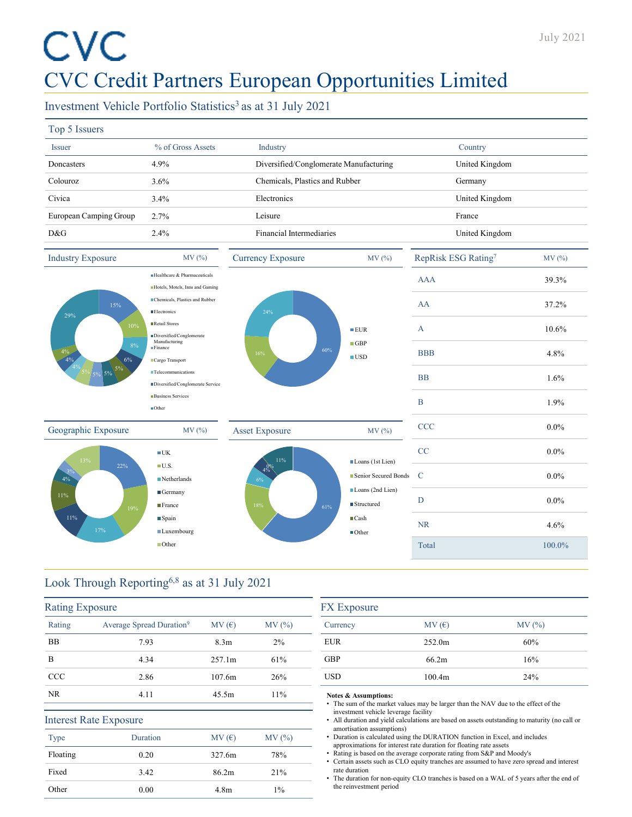## Investment Vehicle Portfolio Statistics<sup>3</sup> as at 31 July 2021

|  | 99<br>еm<br>'N |
|--|----------------|
|--|----------------|

| $1.9P$ $2.552$                |                                                                       |                                        |                                             |                     |         |
|-------------------------------|-----------------------------------------------------------------------|----------------------------------------|---------------------------------------------|---------------------|---------|
| Issuer                        | % of Gross Assets                                                     | Industry                               |                                             | Country             |         |
| Doncasters                    | 4.9%                                                                  | Diversified/Conglomerate Manufacturing |                                             | United Kingdom      |         |
| Colouroz                      | 3.6%                                                                  | Chemicals, Plastics and Rubber         |                                             | Germany             |         |
| Civica                        | 3.4%                                                                  | Electronics                            |                                             | United Kingdom      |         |
| European Camping Group        | 2.7%                                                                  | Leisure                                |                                             | France              |         |
| D&G                           | 2.4%                                                                  | Financial Intermediaries               |                                             | United Kingdom      |         |
| <b>Industry Exposure</b>      | MV (%)                                                                | <b>Currency Exposure</b>               | MV (%)                                      | RepRisk ESG Rating7 | MV(%)   |
|                               | Healthcare & Pharmaceuticals<br>Hotels, Motels, Inns and Gaming       |                                        |                                             | <b>AAA</b>          | 39.3%   |
| 15%                           | Chemicals, Plastics and Rubber<br><b>Electronics</b>                  | 24%                                    |                                             | AA                  | 37.2%   |
| 29%<br>10%                    | Retail Stores<br>Diversified/Conglomerate                             |                                        | EUR                                         | $\mathbf{A}$        | 10.6%   |
| 8%<br>$\frac{4\%}{4\%}$<br>6% | Manufacturing<br>Finance<br>Cargo Transport                           | 60%<br>16%                             | $\blacksquare$ GBP<br>$\blacksquare$ USD    | <b>BBB</b>          | 4.8%    |
| $5\%$ 5% $5\%$ $5\%$          | $\blacksquare$ Telecommunications<br>Diversified/Conglomerate Service |                                        |                                             | <b>BB</b>           | 1.6%    |
|                               | <b>Business Services</b><br>$\blacksquare$ Other                      |                                        |                                             | $\mathbf B$         | 1.9%    |
| Geographic Exposure           | MV(%)                                                                 | <b>Asset Exposure</b>                  | MV(%)                                       | CCC                 | $0.0\%$ |
| 13%                           | $\blacksquare$ UK                                                     | $11\%$                                 |                                             | CC                  | $0.0\%$ |
| 22%<br>4%                     | $\blacksquare$ U.S.<br>$\blacksquare$ Netherlands                     | 4%<br>6%                               | Loans (1st Lien)<br>Senior Secured Bonds    | $\mathbf C$         | $0.0\%$ |
| 11%<br>19%                    | Germany<br>France                                                     | 18%<br>61%                             | Loans (2nd Lien)<br>■ Structured            | D                   | $0.0\%$ |
| 11%<br>17%                    | ■ Spain<br>■Luxembourg                                                |                                        | $\blacksquare$ Cash<br>$\blacksquare$ Other | <b>NR</b>           | 4.6%    |
|                               | ■Other                                                                |                                        |                                             | Total               | 100.0%  |
|                               |                                                                       |                                        |                                             |                     |         |

## Look Through Reporting6,8 as at 31 July 2021

| <b>Rating Exposure</b> |                                      |                  |        |
|------------------------|--------------------------------------|------------------|--------|
| Rating                 | Average Spread Duration <sup>9</sup> | MV(E)            | MV (%) |
| <b>BB</b>              | 7.93                                 | 8.3 <sub>m</sub> | $2\%$  |
| B                      | 4.34                                 | 257.1m           | 61%    |
| ccc                    | 2.86                                 | 107.6m           | 26%    |
| NR.                    | 4.11                                 | 45.5m            | 11%    |
|                        | <b>Interest Rate Exposure</b>        |                  |        |
| <b>Type</b>            | <b>Duration</b>                      | MV(E)            | MV (%) |
| Floating               | 0.20                                 | 327.6m           | 78%    |
| Fixed                  | 3.42                                 | 86.2m            | 21%    |
| Other                  | 0.00                                 | 4.8 <sub>m</sub> | $1\%$  |
|                        |                                      |                  |        |

| <b>FX</b> Exposure |                    |        |  |
|--------------------|--------------------|--------|--|
| Currency           | MV(E)              | MV (%) |  |
| <b>EUR</b>         | 252.0m             | 60%    |  |
| <b>GBP</b>         | 66.2m              | 16%    |  |
| <b>USD</b>         | 100.4 <sub>m</sub> | 24%    |  |

**Notes & Assumptions:**

• The sum of the market values may be larger than the NAV due to the effect of the investment vehicle leverage facility

• All duration and yield calculations are based on assets outstanding to maturity (no call or amortisation assumptions)

• Duration is calculated using the DURATION function in Excel, and includes approximations for interest rate duration for floating rate assets

• Rating is based on the average corporate rating from S&P and Moody's

• Certain assets such as CLO equity tranches are assumed to have zero spread and interest rate duration

• The duration for non-equity CLO tranches is based on a WAL of 5 years after the end of the reinvestment period